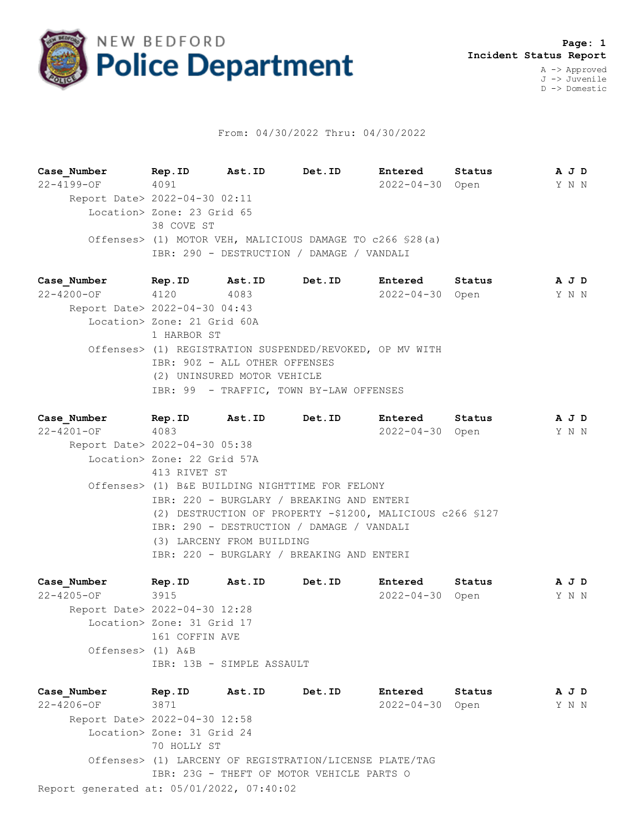

## From: 04/30/2022 Thru: 04/30/2022

**Case\_Number Rep.ID Ast.ID Det.ID Entered Status A J D** 22-4199-OF 4091 2022-04-30 Open Y N N Report Date> 2022-04-30 02:11 Location> Zone: 23 Grid 65 38 COVE ST Offenses> (1) MOTOR VEH, MALICIOUS DAMAGE TO c266 §28(a) IBR: 290 - DESTRUCTION / DAMAGE / VANDALI

**Case\_Number Rep.ID Ast.ID Det.ID Entered Status A J D** 22-4200-OF 4120 4083 2022-04-30 Open Y N N Report Date> 2022-04-30 04:43 Location> Zone: 21 Grid 60A 1 HARBOR ST Offenses> (1) REGISTRATION SUSPENDED/REVOKED, OP MV WITH IBR: 90Z - ALL OTHER OFFENSES (2) UNINSURED MOTOR VEHICLE IBR: 99 - TRAFFIC, TOWN BY-LAW OFFENSES

**Case\_Number Rep.ID Ast.ID Det.ID Entered Status A J D** 22-4201-OF 4083 2022-04-30 Open Y N N Report Date> 2022-04-30 05:38 Location> Zone: 22 Grid 57A 413 RIVET ST Offenses> (1) B&E BUILDING NIGHTTIME FOR FELONY IBR: 220 - BURGLARY / BREAKING AND ENTERI (2) DESTRUCTION OF PROPERTY -\$1200, MALICIOUS c266 §127 IBR: 290 - DESTRUCTION / DAMAGE / VANDALI (3) LARCENY FROM BUILDING IBR: 220 - BURGLARY / BREAKING AND ENTERI

**Case\_Number Rep.ID Ast.ID Det.ID Entered Status A J D** 22-4205-OF 3915 2022-04-30 Open Y N N Report Date> 2022-04-30 12:28 Location> Zone: 31 Grid 17 161 COFFIN AVE Offenses> (1) A&B IBR: 13B - SIMPLE ASSAULT

Report generated at: 05/01/2022, 07:40:02 **Case\_Number Rep.ID Ast.ID Det.ID Entered Status A J D** 22-4206-OF 3871 2022-04-30 Open Y N N Report Date> 2022-04-30 12:58 Location> Zone: 31 Grid 24 70 HOLLY ST Offenses> (1) LARCENY OF REGISTRATION/LICENSE PLATE/TAG IBR: 23G - THEFT OF MOTOR VEHICLE PARTS O